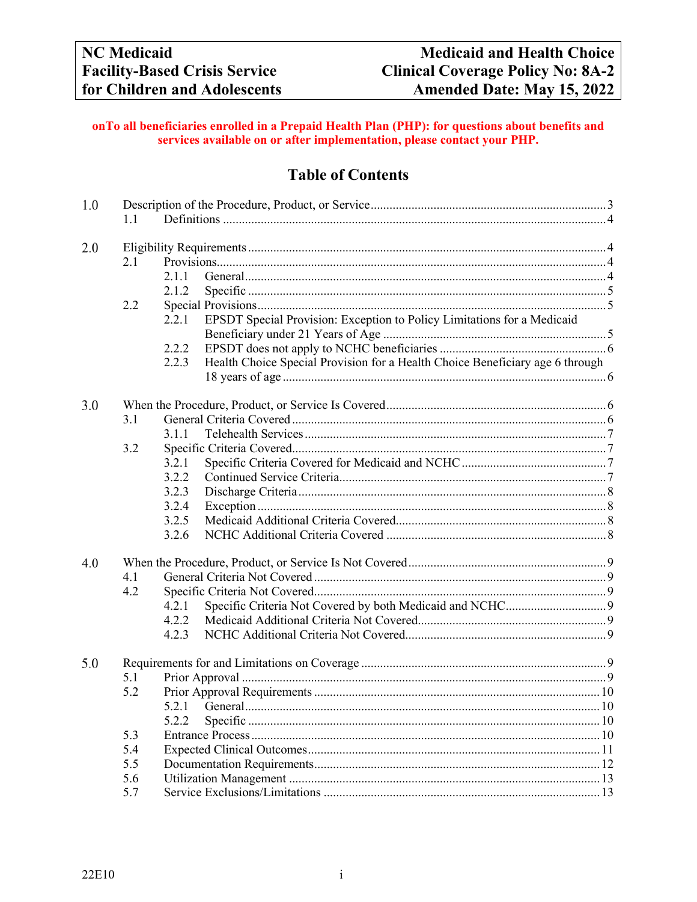## onTo all beneficiaries enrolled in a Prepaid Health Plan (PHP): for questions about benefits and services available on or after implementation, please contact your PHP.

# **Table of Contents**

| 1.0 | 1.1 |                                                                                        |  |  |  |  |
|-----|-----|----------------------------------------------------------------------------------------|--|--|--|--|
|     |     |                                                                                        |  |  |  |  |
| 2.0 |     |                                                                                        |  |  |  |  |
|     | 2.1 |                                                                                        |  |  |  |  |
|     |     | 2.1.1                                                                                  |  |  |  |  |
|     |     | 2.1.2                                                                                  |  |  |  |  |
|     | 2.2 |                                                                                        |  |  |  |  |
|     |     | EPSDT Special Provision: Exception to Policy Limitations for a Medicaid<br>2.2.1       |  |  |  |  |
|     |     |                                                                                        |  |  |  |  |
|     |     | 2.2.2                                                                                  |  |  |  |  |
|     |     | Health Choice Special Provision for a Health Choice Beneficiary age 6 through<br>2.2.3 |  |  |  |  |
|     |     |                                                                                        |  |  |  |  |
| 3.0 |     |                                                                                        |  |  |  |  |
|     | 3.1 |                                                                                        |  |  |  |  |
|     |     | 3.1.1                                                                                  |  |  |  |  |
|     | 3.2 |                                                                                        |  |  |  |  |
|     |     | 3.2.1                                                                                  |  |  |  |  |
|     |     | 3.2.2                                                                                  |  |  |  |  |
|     |     | 3.2.3                                                                                  |  |  |  |  |
|     |     | 3.2.4                                                                                  |  |  |  |  |
|     |     | 3.2.5                                                                                  |  |  |  |  |
|     |     | 3.2.6                                                                                  |  |  |  |  |
| 4.0 |     |                                                                                        |  |  |  |  |
|     | 4.1 |                                                                                        |  |  |  |  |
|     | 4.2 |                                                                                        |  |  |  |  |
|     |     | 4.2.1                                                                                  |  |  |  |  |
|     |     | 4.2.2                                                                                  |  |  |  |  |
|     |     | 4.2.3                                                                                  |  |  |  |  |
| 5.0 |     |                                                                                        |  |  |  |  |
|     | 5.1 |                                                                                        |  |  |  |  |
|     | 5.2 |                                                                                        |  |  |  |  |
|     |     | $5.2.1$ General                                                                        |  |  |  |  |
|     |     | 5.2.2                                                                                  |  |  |  |  |
|     | 5.3 |                                                                                        |  |  |  |  |
|     | 5.4 |                                                                                        |  |  |  |  |
|     | 5.5 |                                                                                        |  |  |  |  |
|     | 5.6 |                                                                                        |  |  |  |  |
|     | 5.7 |                                                                                        |  |  |  |  |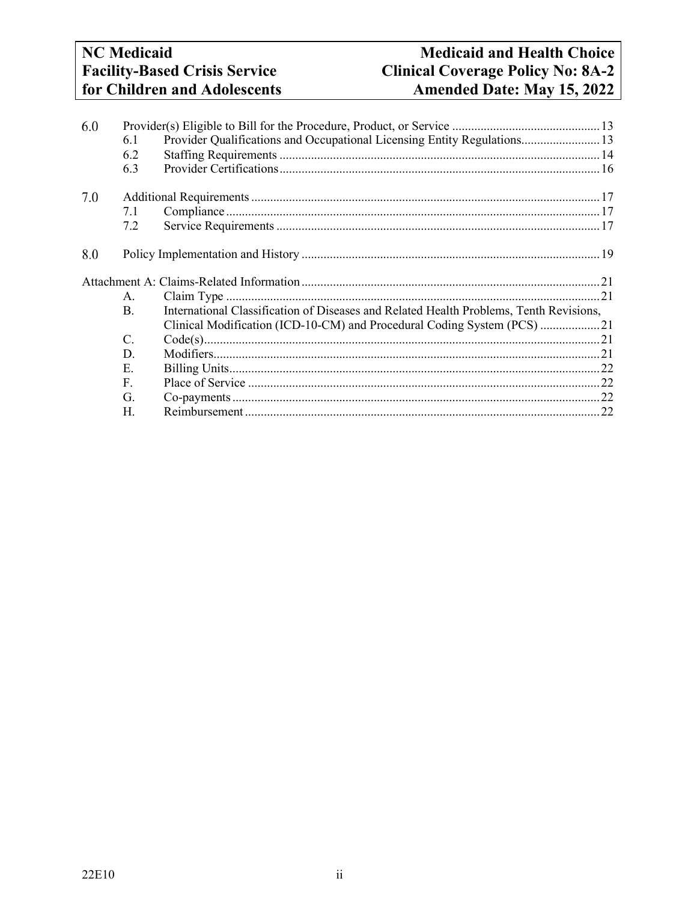# **NC** Medicaid **Facility-Based Crisis Service** for Children and Adolescents

# **Medicaid and Health Choice Clinical Coverage Policy No: 8A-2** Amended Date: May 15, 2022

| 6.0 |                |                                                                                        |  |
|-----|----------------|----------------------------------------------------------------------------------------|--|
|     | 6.1            | Provider Qualifications and Occupational Licensing Entity Regulations 13               |  |
|     | 6.2            |                                                                                        |  |
|     | 6.3            |                                                                                        |  |
| 7.0 |                |                                                                                        |  |
| 7.1 |                |                                                                                        |  |
|     | 7.2            |                                                                                        |  |
| 8.0 |                |                                                                                        |  |
|     |                |                                                                                        |  |
|     | Α.             |                                                                                        |  |
|     | $\mathbf{B}$ . | International Classification of Diseases and Related Health Problems, Tenth Revisions, |  |
|     |                |                                                                                        |  |
|     |                | Clinical Modification (ICD-10-CM) and Procedural Coding System (PCS) 21                |  |
|     | $\mathcal{C}$  |                                                                                        |  |
|     | D.             |                                                                                        |  |
|     | Е.             |                                                                                        |  |
|     | $F_{\cdot}$    |                                                                                        |  |
|     | G.             |                                                                                        |  |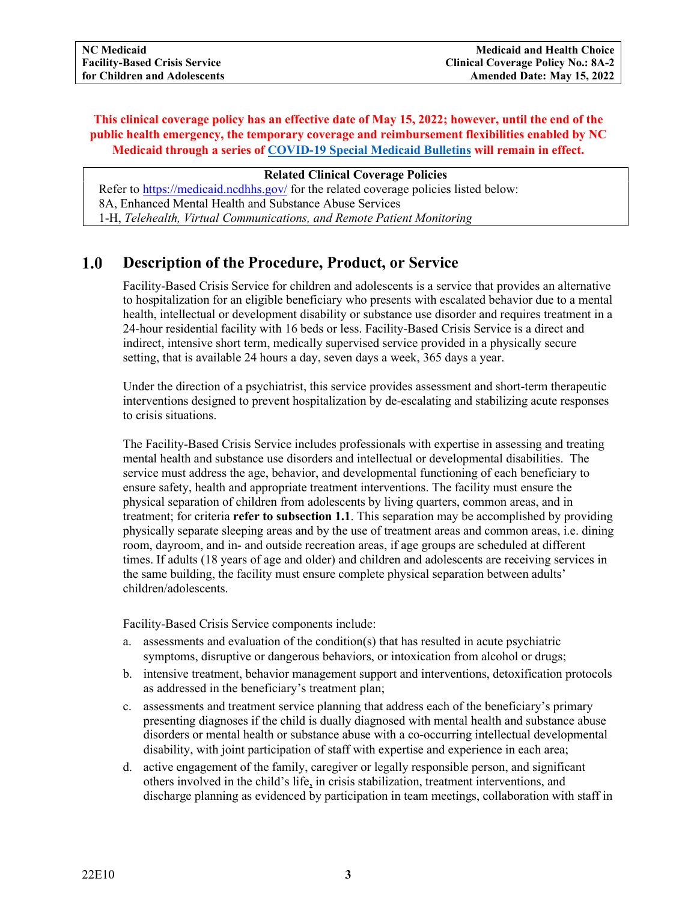# **This clinical coverage policy has an effective date of May 15, 2022; however, until the end of the public health emergency, the temporary coverage and reimbursement flexibilities enabled by NC Medicaid through a series of [COVID-19 Special Medicaid Bulletins](https://medicaid.ncdhhs.gov/about-us/covid-19-guidance-and-resources/providers/covid-19-special-medicaid-bulletins) will remain in effect.**

#### **Related Clinical Coverage Policies**

Refer to [https://medicaid.ncdhhs.gov/](http://dma.ncdhhs.gov/) for the related coverage policies listed below: 8A, Enhanced Mental Health and Substance Abuse Services 1-H, *Telehealth, Virtual Communications, and Remote Patient Monitoring*

#### <span id="page-2-0"></span> $1.0$ **Description of the Procedure, Product, or Service**

Facility-Based Crisis Service for children and adolescents is a service that provides an alternative to hospitalization for an eligible beneficiary who presents with escalated behavior due to a mental health, intellectual or development disability or substance use disorder and requires treatment in a 24-hour residential facility with 16 beds or less. Facility-Based Crisis Service is a direct and indirect, intensive short term, medically supervised service provided in a physically secure setting, that is available 24 hours a day, seven days a week, 365 days a year.

Under the direction of a psychiatrist, this service provides assessment and short-term therapeutic interventions designed to prevent hospitalization by de-escalating and stabilizing acute responses to crisis situations.

The Facility-Based Crisis Service includes professionals with expertise in assessing and treating mental health and substance use disorders and intellectual or developmental disabilities. The service must address the age, behavior, and developmental functioning of each beneficiary to ensure safety, health and appropriate treatment interventions. The facility must ensure the physical separation of children from adolescents by living quarters, common areas, and in treatment; for criteria **refer to subsection 1.1**. This separation may be accomplished by providing physically separate sleeping areas and by the use of treatment areas and common areas, i.e. dining room, dayroom, and in- and outside recreation areas, if age groups are scheduled at different times. If adults (18 years of age and older) and children and adolescents are receiving services in the same building, the facility must ensure complete physical separation between adults' children/adolescents.

Facility-Based Crisis Service components include:

- a. assessments and evaluation of the condition(s) that has resulted in acute psychiatric symptoms, disruptive or dangerous behaviors, or intoxication from alcohol or drugs;
- b. intensive treatment, behavior management support and interventions, detoxification protocols as addressed in the beneficiary's treatment plan;
- c. assessments and treatment service planning that address each of the beneficiary's primary presenting diagnoses if the child is dually diagnosed with mental health and substance abuse disorders or mental health or substance abuse with a co-occurring intellectual developmental disability, with joint participation of staff with expertise and experience in each area;
- d. active engagement of the family, caregiver or legally responsible person, and significant others involved in the child's life, in crisis stabilization, treatment interventions, and discharge planning as evidenced by participation in team meetings, collaboration with staff in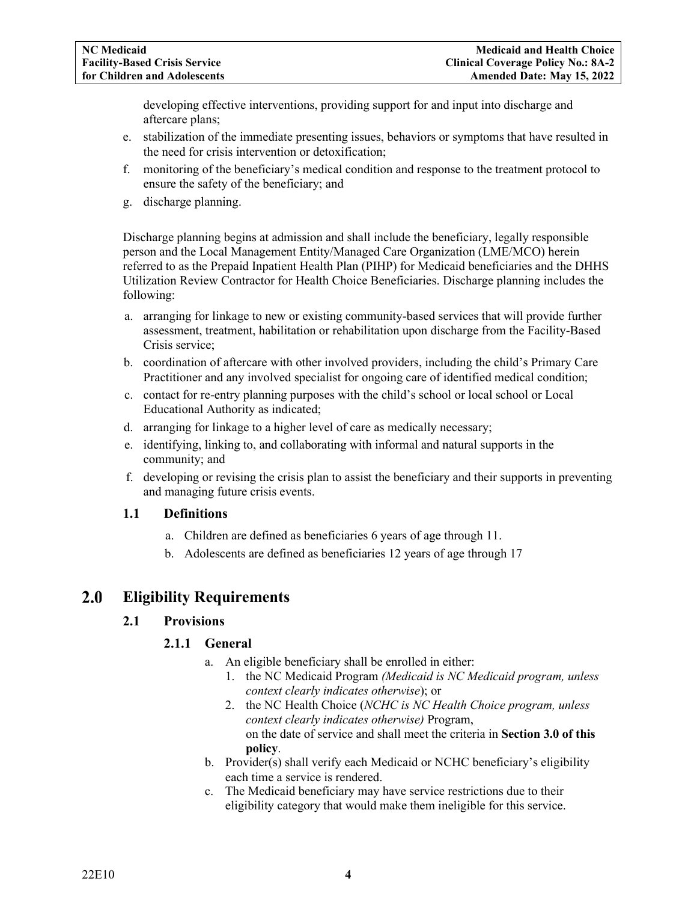developing effective interventions, providing support for and input into discharge and aftercare plans;

- e. stabilization of the immediate presenting issues, behaviors or symptoms that have resulted in the need for crisis intervention or detoxification;
- f. monitoring of the beneficiary's medical condition and response to the treatment protocol to ensure the safety of the beneficiary; and
- g. discharge planning.

Discharge planning begins at admission and shall include the beneficiary, legally responsible person and the Local Management Entity/Managed Care Organization (LME/MCO) herein referred to as the Prepaid Inpatient Health Plan (PIHP) for Medicaid beneficiaries and the DHHS Utilization Review Contractor for Health Choice Beneficiaries. Discharge planning includes the following:

- a. arranging for linkage to new or existing community-based services that will provide further assessment, treatment, habilitation or rehabilitation upon discharge from the Facility-Based Crisis service;
- b. coordination of aftercare with other involved providers, including the child's Primary Care Practitioner and any involved specialist for ongoing care of identified medical condition;
- c. contact for re-entry planning purposes with the child's school or local school or Local Educational Authority as indicated;
- d. arranging for linkage to a higher level of care as medically necessary;
- e. identifying, linking to, and collaborating with informal and natural supports in the community; and
- f. developing or revising the crisis plan to assist the beneficiary and their supports in preventing and managing future crisis events.

### <span id="page-3-0"></span>**1.1 Definitions**

- a. Children are defined as beneficiaries 6 years of age through 11.
- b. Adolescents are defined as beneficiaries 12 years of age through 17

#### <span id="page-3-3"></span><span id="page-3-2"></span><span id="page-3-1"></span>**Eligibility Requirements**  $2.0$

### **2.1 Provisions**

### **2.1.1 General**

- a. An eligible beneficiary shall be enrolled in either:
	- 1. the NC Medicaid Program *(Medicaid is NC Medicaid program, unless context clearly indicates otherwise*); or
	- 2. the NC Health Choice (*NCHC is NC Health Choice program, unless context clearly indicates otherwise)* Program, on the date of service and shall meet the criteria in **Section 3.0 of this policy**.
- b. Provider(s) shall verify each Medicaid or NCHC beneficiary's eligibility each time a service is rendered.
- c. The Medicaid beneficiary may have service restrictions due to their eligibility category that would make them ineligible for this service.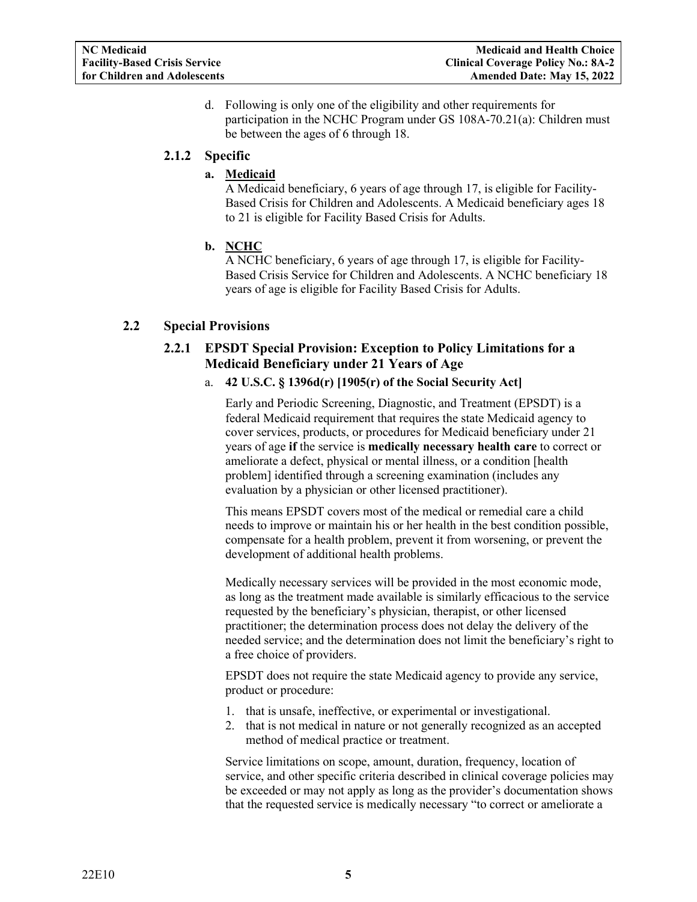d. Following is only one of the eligibility and other requirements for participation in the NCHC Program under GS 108A-70.21(a): Children must be between the ages of 6 through 18.

# <span id="page-4-0"></span>**2.1.2 Specific**

### **a. Medicaid**

A Medicaid beneficiary, 6 years of age through 17, is eligible for Facility-Based Crisis for Children and Adolescents. A Medicaid beneficiary ages 18 to 21 is eligible for Facility Based Crisis for Adults.

# **b. NCHC**

A NCHC beneficiary, 6 years of age through 17, is eligible for Facility-Based Crisis Service for Children and Adolescents. A NCHC beneficiary 18 years of age is eligible for Facility Based Crisis for Adults.

# <span id="page-4-2"></span><span id="page-4-1"></span>**2.2 Special Provisions**

# **2.2.1 EPSDT Special Provision: Exception to Policy Limitations for a Medicaid Beneficiary under 21 Years of Age**

### a. **42 U.S.C. § 1396d(r) [1905(r) of the Social Security Act]**

Early and Periodic Screening, Diagnostic, and Treatment (EPSDT) is a federal Medicaid requirement that requires the state Medicaid agency to cover services, products, or procedures for Medicaid beneficiary under 21 years of age **if** the service is **medically necessary health care** to correct or ameliorate a defect, physical or mental illness, or a condition [health problem] identified through a screening examination (includes any evaluation by a physician or other licensed practitioner).

This means EPSDT covers most of the medical or remedial care a child needs to improve or maintain his or her health in the best condition possible, compensate for a health problem, prevent it from worsening, or prevent the development of additional health problems.

Medically necessary services will be provided in the most economic mode, as long as the treatment made available is similarly efficacious to the service requested by the beneficiary's physician, therapist, or other licensed practitioner; the determination process does not delay the delivery of the needed service; and the determination does not limit the beneficiary's right to a free choice of providers.

EPSDT does not require the state Medicaid agency to provide any service, product or procedure:

- 1. that is unsafe, ineffective, or experimental or investigational.
- 2. that is not medical in nature or not generally recognized as an accepted method of medical practice or treatment.

Service limitations on scope, amount, duration, frequency, location of service, and other specific criteria described in clinical coverage policies may be exceeded or may not apply as long as the provider's documentation shows that the requested service is medically necessary "to correct or ameliorate a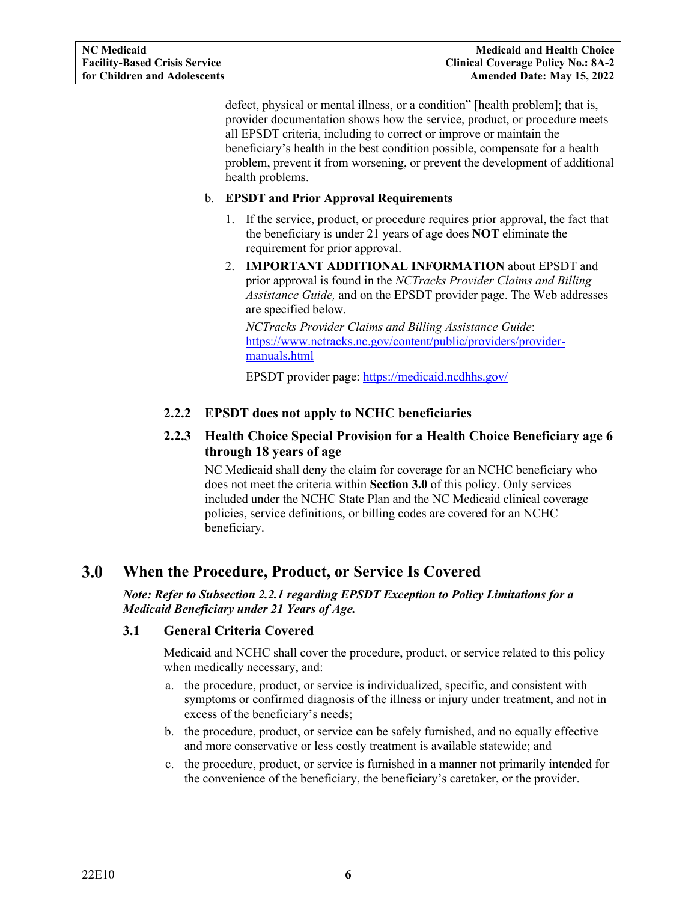defect, physical or mental illness, or a condition" [health problem]; that is, provider documentation shows how the service, product, or procedure meets all EPSDT criteria, including to correct or improve or maintain the beneficiary's health in the best condition possible, compensate for a health problem, prevent it from worsening, or prevent the development of additional health problems.

#### b. **EPSDT and Prior Approval Requirements**

- 1. If the service, product, or procedure requires prior approval, the fact that the beneficiary is under 21 years of age does **NOT** eliminate the requirement for prior approval.
- 2. **IMPORTANT ADDITIONAL INFORMATION** about EPSDT and prior approval is found in the *NCTracks Provider Claims and Billing Assistance Guide,* and on the EPSDT provider page. The Web addresses are specified below.

*NCTracks Provider Claims and Billing Assistance Guide*: [https://www.nctracks.nc.gov/content/public/providers/provider](https://www.nctracks.nc.gov/content/public/providers/provider-manuals.html)[manuals.html](https://www.nctracks.nc.gov/content/public/providers/provider-manuals.html)

EPSDT provider page: [https://medicaid.ncdhhs.gov/](http://dma.ncdhhs.gov/)

# <span id="page-5-0"></span>**2.2.2 EPSDT does not apply to NCHC beneficiaries**

# <span id="page-5-1"></span>**2.2.3 Health Choice Special Provision for a Health Choice Beneficiary age 6 through 18 years of age**

NC Medicaid shall deny the claim for coverage for an NCHC beneficiary who does not meet the criteria within **Section 3.0** of this policy. Only services included under the NCHC State Plan and the NC Medicaid clinical coverage policies, service definitions, or billing codes are covered for an NCHC beneficiary.

#### <span id="page-5-2"></span> $3.0$ **When the Procedure, Product, or Service Is Covered**

*Note: Refer to Subsection 2.2.1 regarding EPSDT Exception to Policy Limitations for a Medicaid Beneficiary under 21 Years of Age.*

### <span id="page-5-3"></span>**3.1 General Criteria Covered**

Medicaid and NCHC shall cover the procedure, product, or service related to this policy when medically necessary, and:

- a. the procedure, product, or service is individualized, specific, and consistent with symptoms or confirmed diagnosis of the illness or injury under treatment, and not in excess of the beneficiary's needs;
- b. the procedure, product, or service can be safely furnished, and no equally effective and more conservative or less costly treatment is available statewide; and
- c. the procedure, product, or service is furnished in a manner not primarily intended for the convenience of the beneficiary, the beneficiary's caretaker, or the provider.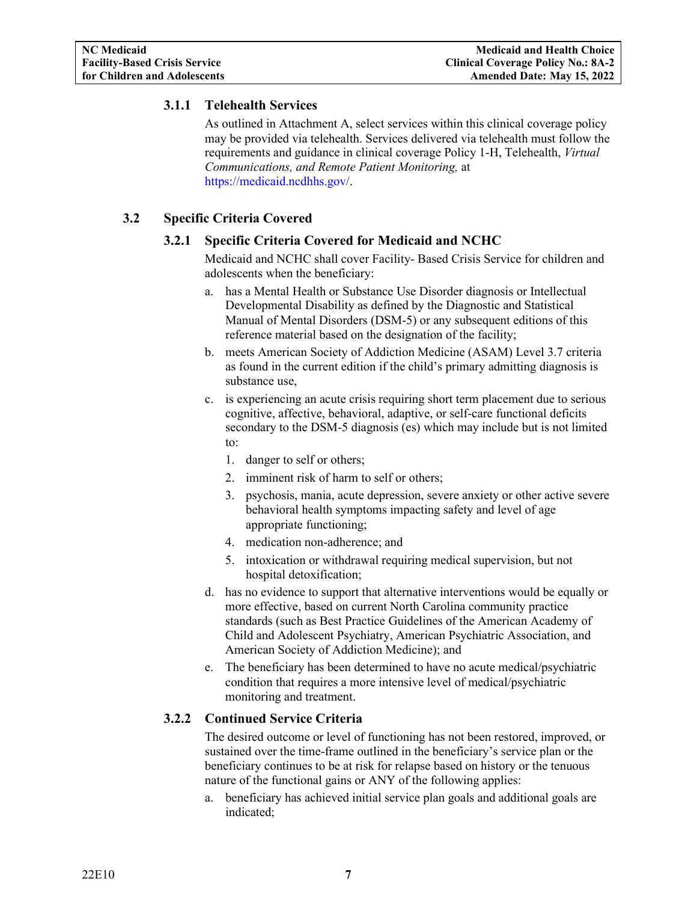# <span id="page-6-0"></span>**3.1.1 Telehealth Services**

As outlined in Attachment A, select services within this clinical coverage policy may be provided via telehealth. Services delivered via telehealth must follow the requirements and guidance in clinical coverage Policy 1-H, Telehealth, *Virtual Communications, and Remote Patient Monitoring,* at [https://medicaid.ncdhhs.gov/.](https://medicaid.ncdhhs.gov/)

# <span id="page-6-2"></span><span id="page-6-1"></span>**3.2 Specific Criteria Covered**

## **3.2.1 Specific Criteria Covered for Medicaid and NCHC**

Medicaid and NCHC shall cover Facility- Based Crisis Service for children and adolescents when the beneficiary:

- a. has a Mental Health or Substance Use Disorder diagnosis or Intellectual Developmental Disability as defined by the Diagnostic and Statistical Manual of Mental Disorders (DSM-5) or any subsequent editions of this reference material based on the designation of the facility;
- b. meets American Society of Addiction Medicine (ASAM) Level 3.7 criteria as found in the current edition if the child's primary admitting diagnosis is substance use,
- c. is experiencing an acute crisis requiring short term placement due to serious cognitive, affective, behavioral, adaptive, or self-care functional deficits secondary to the DSM-5 diagnosis (es) which may include but is not limited to:
	- 1. danger to self or others;
	- 2. imminent risk of harm to self or others;
	- 3. psychosis, mania, acute depression, severe anxiety or other active severe behavioral health symptoms impacting safety and level of age appropriate functioning;
	- 4. medication non-adherence; and
	- 5. intoxication or withdrawal requiring medical supervision, but not hospital detoxification;
- d. has no evidence to support that alternative interventions would be equally or more effective, based on current North Carolina community practice standards (such as Best Practice Guidelines of the American Academy of Child and Adolescent Psychiatry, American Psychiatric Association, and American Society of Addiction Medicine); and
- e. The beneficiary has been determined to have no acute medical/psychiatric condition that requires a more intensive level of medical/psychiatric monitoring and treatment.

# <span id="page-6-3"></span>**3.2.2 Continued Service Criteria**

The desired outcome or level of functioning has not been restored, improved, or sustained over the time-frame outlined in the beneficiary's service plan or the beneficiary continues to be at risk for relapse based on history or the tenuous nature of the functional gains or ANY of the following applies:

a. beneficiary has achieved initial service plan goals and additional goals are indicated;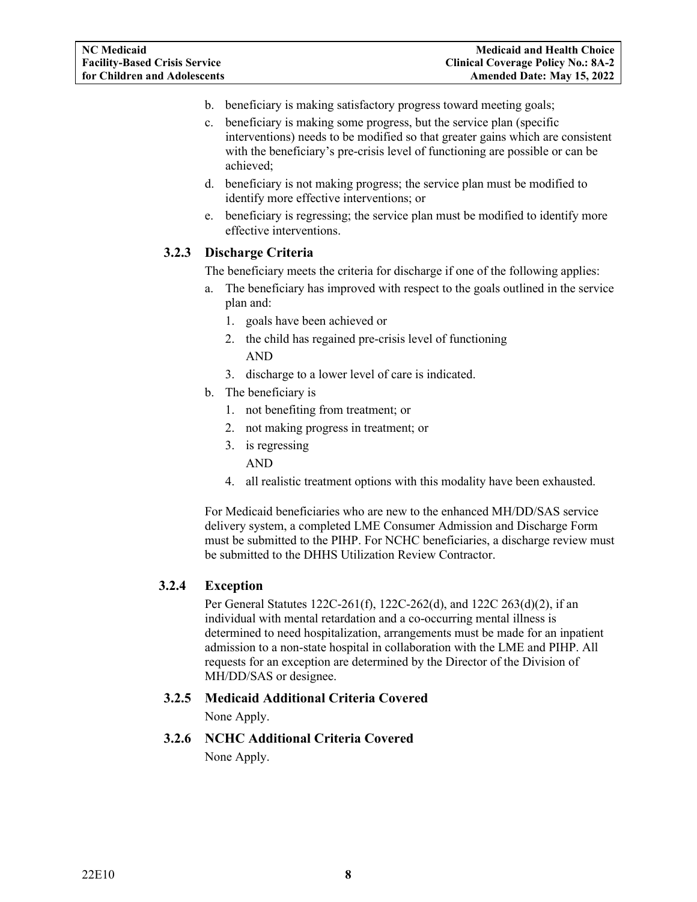- b. beneficiary is making satisfactory progress toward meeting goals;
- c. beneficiary is making some progress, but the service plan (specific interventions) needs to be modified so that greater gains which are consistent with the beneficiary's pre-crisis level of functioning are possible or can be achieved;
- d. beneficiary is not making progress; the service plan must be modified to identify more effective interventions; or
- e. beneficiary is regressing; the service plan must be modified to identify more effective interventions.

# <span id="page-7-0"></span>**3.2.3 Discharge Criteria**

The beneficiary meets the criteria for discharge if one of the following applies:

- a. The beneficiary has improved with respect to the goals outlined in the service plan and:
	- 1. goals have been achieved or
	- 2. the child has regained pre-crisis level of functioning AND
	- 3. discharge to a lower level of care is indicated.
- b. The beneficiary is
	- 1. not benefiting from treatment; or
	- 2. not making progress in treatment; or
	- 3. is regressing
		- AND
	- 4. all realistic treatment options with this modality have been exhausted.

For Medicaid beneficiaries who are new to the enhanced MH/DD/SAS service delivery system, a completed LME Consumer Admission and Discharge Form must be submitted to the PIHP. For NCHC beneficiaries, a discharge review must be submitted to the DHHS Utilization Review Contractor.

### <span id="page-7-1"></span>**3.2.4 Exception**

Per General Statutes 122C-261(f), 122C-262(d), and 122C 263(d)(2), if an individual with mental retardation and a co-occurring mental illness is determined to need hospitalization, arrangements must be made for an inpatient admission to a non-state hospital in collaboration with the LME and PIHP. All requests for an exception are determined by the Director of the Division of MH/DD/SAS or designee.

### <span id="page-7-2"></span>**3.2.5 Medicaid Additional Criteria Covered**

None Apply.

<span id="page-7-3"></span>**3.2.6 NCHC Additional Criteria Covered**

None Apply.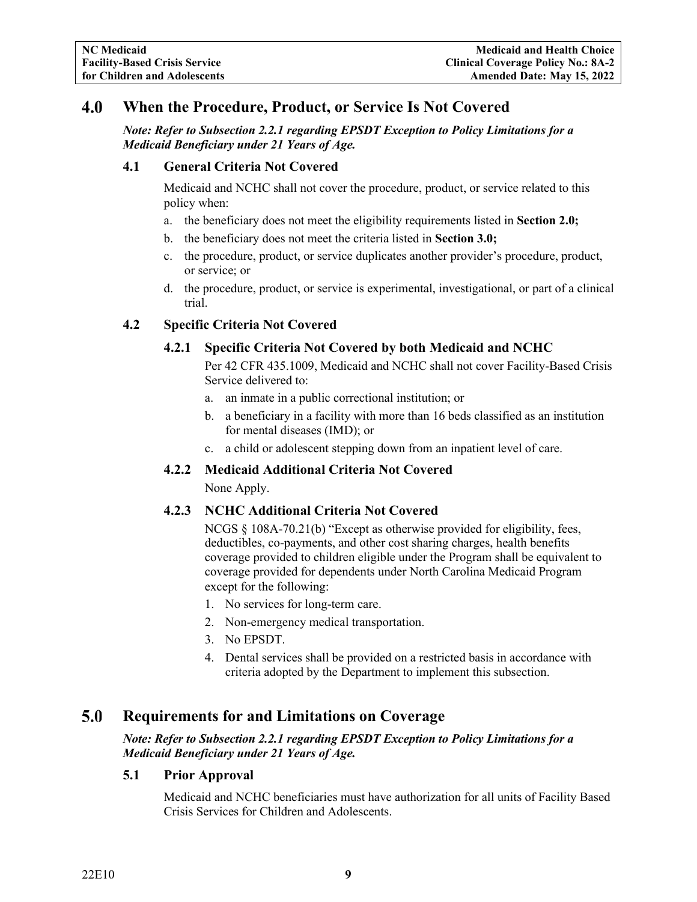#### <span id="page-8-0"></span>4.0 **When the Procedure, Product, or Service Is Not Covered**

*Note: Refer to Subsection 2.2.1 regarding EPSDT Exception to Policy Limitations for a Medicaid Beneficiary under 21 Years of Age.*

#### <span id="page-8-1"></span>**4.1 General Criteria Not Covered**

Medicaid and NCHC shall not cover the procedure, product, or service related to this policy when:

- a. the beneficiary does not meet the eligibility requirements listed in **Section 2.0;**
- b. the beneficiary does not meet the criteria listed in **Section 3.0;**
- c. the procedure, product, or service duplicates another provider's procedure, product, or service; or
- d. the procedure, product, or service is experimental, investigational, or part of a clinical trial.

#### <span id="page-8-3"></span><span id="page-8-2"></span>**4.2 Specific Criteria Not Covered**

#### **4.2.1 Specific Criteria Not Covered by both Medicaid and NCHC**

Per 42 CFR 435.1009, Medicaid and NCHC shall not cover Facility-Based Crisis Service delivered to:

- a. an inmate in a public correctional institution; or
- b. a beneficiary in a facility with more than 16 beds classified as an institution for mental diseases (IMD); or
- c. a child or adolescent stepping down from an inpatient level of care.

#### <span id="page-8-4"></span>**4.2.2 Medicaid Additional Criteria Not Covered**

None Apply.

#### <span id="page-8-5"></span>**4.2.3 NCHC Additional Criteria Not Covered**

NCGS § 108A-70.21(b) "Except as otherwise provided for eligibility, fees, deductibles, co-payments, and other cost sharing charges, health benefits coverage provided to children eligible under the Program shall be equivalent to coverage provided for dependents under North Carolina Medicaid Program except for the following:

- 1. No services for long-term care.
- 2. Non-emergency medical transportation.
- 3. No EPSDT.
- 4. Dental services shall be provided on a restricted basis in accordance with criteria adopted by the Department to implement this subsection.

#### <span id="page-8-6"></span> $5.0$ **Requirements for and Limitations on Coverage**

*Note: Refer to Subsection 2.2.1 regarding EPSDT Exception to Policy Limitations for a Medicaid Beneficiary under 21 Years of Age.*

#### <span id="page-8-7"></span>**5.1 Prior Approval**

Medicaid and NCHC beneficiaries must have authorization for all units of Facility Based Crisis Services for Children and Adolescents.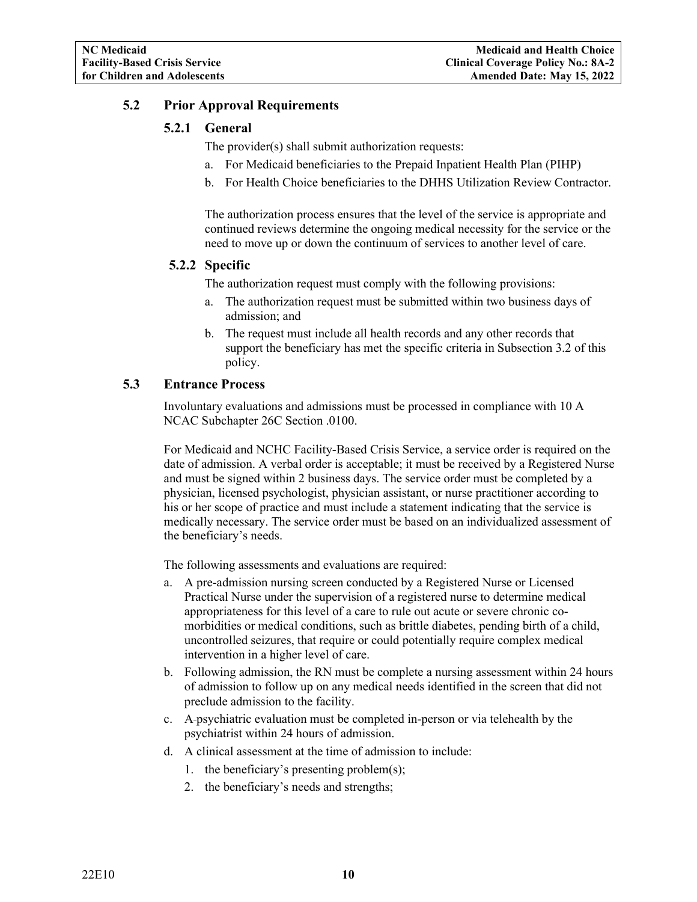## <span id="page-9-1"></span><span id="page-9-0"></span>**5.2 Prior Approval Requirements**

# **5.2.1 General**

- The provider(s) shall submit authorization requests:
- a. For Medicaid beneficiaries to the Prepaid Inpatient Health Plan (PIHP)
- b. For Health Choice beneficiaries to the DHHS Utilization Review Contractor.

The authorization process ensures that the level of the service is appropriate and continued reviews determine the ongoing medical necessity for the service or the need to move up or down the continuum of services to another level of care.

#### <span id="page-9-2"></span>**5.2.2 Specific**

The authorization request must comply with the following provisions:

- a. The authorization request must be submitted within two business days of admission; and
- b. The request must include all health records and any other records that support the beneficiary has met the specific criteria in Subsection 3.2 of this policy.

# <span id="page-9-3"></span>**5.3 Entrance Process**

Involuntary evaluations and admissions must be processed in compliance with 10 A NCAC Subchapter 26C Section .0100.

For Medicaid and NCHC Facility-Based Crisis Service, a service order is required on the date of admission. A verbal order is acceptable; it must be received by a Registered Nurse and must be signed within 2 business days. The service order must be completed by a physician, licensed psychologist, physician assistant, or nurse practitioner according to his or her scope of practice and must include a statement indicating that the service is medically necessary. The service order must be based on an individualized assessment of the beneficiary's needs.

The following assessments and evaluations are required:

- a. A pre-admission nursing screen conducted by a Registered Nurse or Licensed Practical Nurse under the supervision of a registered nurse to determine medical appropriateness for this level of a care to rule out acute or severe chronic comorbidities or medical conditions, such as brittle diabetes, pending birth of a child, uncontrolled seizures, that require or could potentially require complex medical intervention in a higher level of care.
- b. Following admission, the RN must be complete a nursing assessment within 24 hours of admission to follow up on any medical needs identified in the screen that did not preclude admission to the facility.
- c. A psychiatric evaluation must be completed in-person or via telehealth by the psychiatrist within 24 hours of admission.
- d. A clinical assessment at the time of admission to include:
	- 1. the beneficiary's presenting problem(s);
	- 2. the beneficiary's needs and strengths;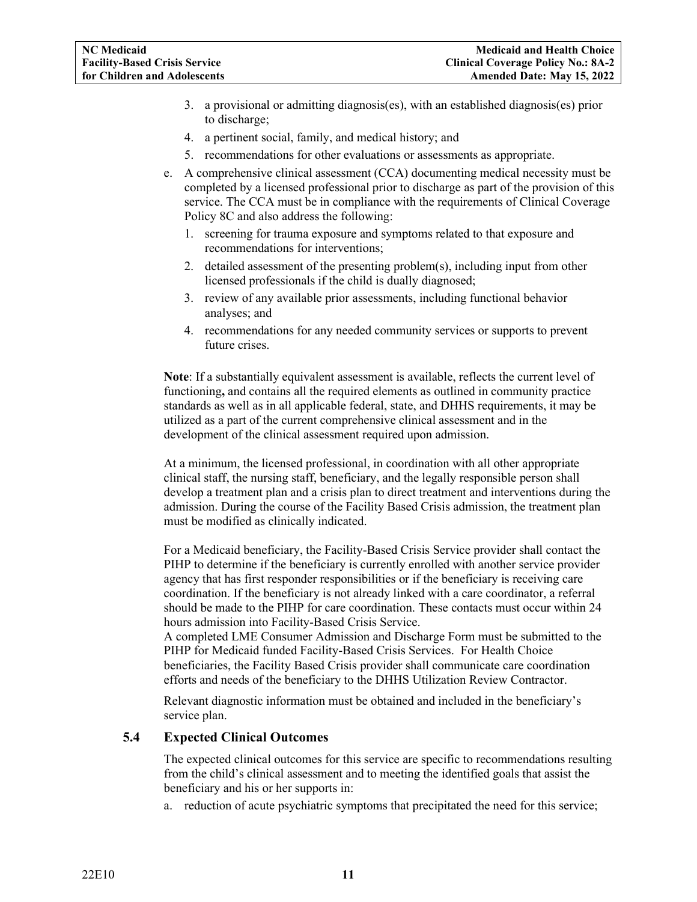- 3. a provisional or admitting diagnosis(es), with an established diagnosis(es) prior to discharge;
- 4. a pertinent social, family, and medical history; and
- 5. recommendations for other evaluations or assessments as appropriate.
- e. A comprehensive clinical assessment (CCA) documenting medical necessity must be completed by a licensed professional prior to discharge as part of the provision of this service. The CCA must be in compliance with the requirements of Clinical Coverage Policy 8C and also address the following:
	- 1. screening for trauma exposure and symptoms related to that exposure and recommendations for interventions;
	- 2. detailed assessment of the presenting problem(s), including input from other licensed professionals if the child is dually diagnosed;
	- 3. review of any available prior assessments, including functional behavior analyses; and
	- 4. recommendations for any needed community services or supports to prevent future crises.

**Note**: If a substantially equivalent assessment is available, reflects the current level of functioning**,** and contains all the required elements as outlined in community practice standards as well as in all applicable federal, state, and DHHS requirements, it may be utilized as a part of the current comprehensive clinical assessment and in the development of the clinical assessment required upon admission.

At a minimum, the licensed professional, in coordination with all other appropriate clinical staff, the nursing staff, beneficiary, and the legally responsible person shall develop a treatment plan and a crisis plan to direct treatment and interventions during the admission. During the course of the Facility Based Crisis admission, the treatment plan must be modified as clinically indicated.

For a Medicaid beneficiary, the Facility-Based Crisis Service provider shall contact the PIHP to determine if the beneficiary is currently enrolled with another service provider agency that has first responder responsibilities or if the beneficiary is receiving care coordination. If the beneficiary is not already linked with a care coordinator, a referral should be made to the PIHP for care coordination. These contacts must occur within 24 hours admission into Facility-Based Crisis Service.

A completed LME Consumer Admission and Discharge Form must be submitted to the PIHP for Medicaid funded Facility-Based Crisis Services. For Health Choice beneficiaries, the Facility Based Crisis provider shall communicate care coordination efforts and needs of the beneficiary to the DHHS Utilization Review Contractor.

Relevant diagnostic information must be obtained and included in the beneficiary's service plan.

#### <span id="page-10-0"></span>**5.4 Expected Clinical Outcomes**

The expected clinical outcomes for this service are specific to recommendations resulting from the child's clinical assessment and to meeting the identified goals that assist the beneficiary and his or her supports in:

a. reduction of acute psychiatric symptoms that precipitated the need for this service;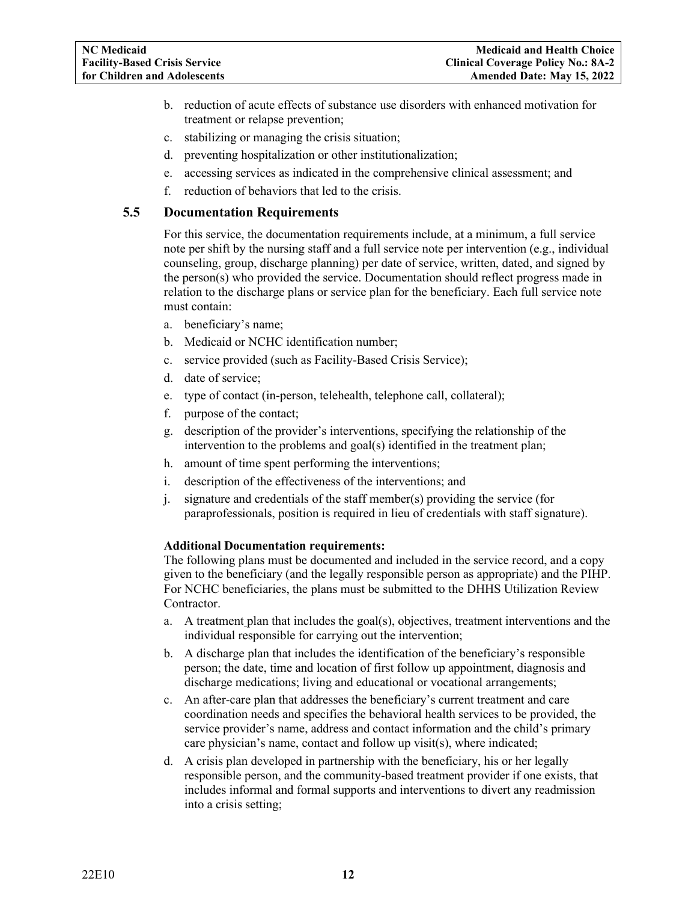- b. reduction of acute effects of substance use disorders with enhanced motivation for treatment or relapse prevention;
- c. stabilizing or managing the crisis situation;
- d. preventing hospitalization or other institutionalization;
- e. accessing services as indicated in the comprehensive clinical assessment; and
- f. reduction of behaviors that led to the crisis.

#### <span id="page-11-0"></span>**5.5 Documentation Requirements**

For this service, the documentation requirements include, at a minimum, a full service note per shift by the nursing staff and a full service note per intervention (e.g., individual counseling, group, discharge planning) per date of service, written, dated, and signed by the person(s) who provided the service. Documentation should reflect progress made in relation to the discharge plans or service plan for the beneficiary. Each full service note must contain:

- a. beneficiary's name;
- b. Medicaid or NCHC identification number;
- c. service provided (such as Facility-Based Crisis Service);
- d. date of service;
- e. type of contact (in-person, telehealth, telephone call, collateral);
- f. purpose of the contact;
- g. description of the provider's interventions, specifying the relationship of the intervention to the problems and goal(s) identified in the treatment plan;
- h. amount of time spent performing the interventions;
- i. description of the effectiveness of the interventions; and
- j. signature and credentials of the staff member(s) providing the service (for paraprofessionals, position is required in lieu of credentials with staff signature).

#### **Additional Documentation requirements:**

The following plans must be documented and included in the service record, and a copy given to the beneficiary (and the legally responsible person as appropriate) and the PIHP. For NCHC beneficiaries, the plans must be submitted to the DHHS Utilization Review Contractor.

- a. A treatment plan that includes the goal(s), objectives, treatment interventions and the individual responsible for carrying out the intervention;
- b. A discharge plan that includes the identification of the beneficiary's responsible person; the date, time and location of first follow up appointment, diagnosis and discharge medications; living and educational or vocational arrangements;
- c. An after-care plan that addresses the beneficiary's current treatment and care coordination needs and specifies the behavioral health services to be provided, the service provider's name, address and contact information and the child's primary care physician's name, contact and follow up visit(s), where indicated;
- d. A crisis plan developed in partnership with the beneficiary, his or her legally responsible person, and the community-based treatment provider if one exists, that includes informal and formal supports and interventions to divert any readmission into a crisis setting;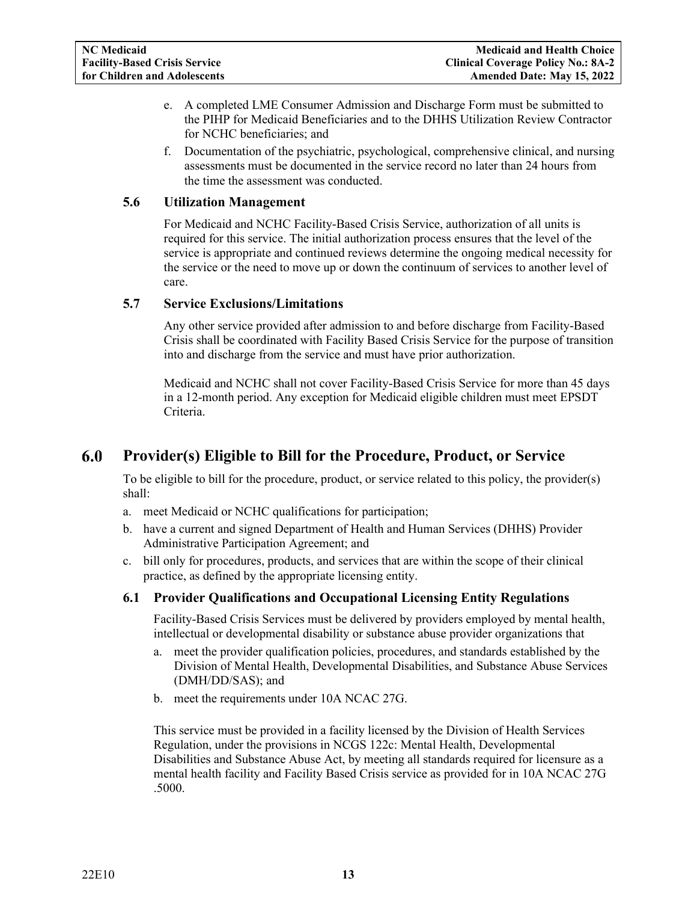- e. A completed LME Consumer Admission and Discharge Form must be submitted to the PIHP for Medicaid Beneficiaries and to the DHHS Utilization Review Contractor for NCHC beneficiaries; and
- f. Documentation of the psychiatric, psychological, comprehensive clinical, and nursing assessments must be documented in the service record no later than 24 hours from the time the assessment was conducted.

#### <span id="page-12-0"></span>**5.6 Utilization Management**

For Medicaid and NCHC Facility-Based Crisis Service, authorization of all units is required for this service. The initial authorization process ensures that the level of the service is appropriate and continued reviews determine the ongoing medical necessity for the service or the need to move up or down the continuum of services to another level of care.

#### <span id="page-12-1"></span>**5.7 Service Exclusions/Limitations**

Any other service provided after admission to and before discharge from Facility-Based Crisis shall be coordinated with Facility Based Crisis Service for the purpose of transition into and discharge from the service and must have prior authorization.

Medicaid and NCHC shall not cover Facility-Based Crisis Service for more than 45 days in a 12-month period. Any exception for Medicaid eligible children must meet EPSDT Criteria.

#### <span id="page-12-2"></span>6.0 **Provider(s) Eligible to Bill for the Procedure, Product, or Service**

To be eligible to bill for the procedure, product, or service related to this policy, the provider(s) shall:

- a. meet Medicaid or NCHC qualifications for participation;
- b. have a current and signed Department of Health and Human Services (DHHS) Provider Administrative Participation Agreement; and
- c. bill only for procedures, products, and services that are within the scope of their clinical practice, as defined by the appropriate licensing entity.

### <span id="page-12-3"></span>**6.1 Provider Qualifications and Occupational Licensing Entity Regulations**

Facility-Based Crisis Services must be delivered by providers employed by mental health, intellectual or developmental disability or substance abuse provider organizations that

- a. meet the provider qualification policies, procedures, and standards established by the Division of Mental Health, Developmental Disabilities, and Substance Abuse Services (DMH/DD/SAS); and
- b. meet the requirements under 10A NCAC 27G.

This service must be provided in a facility licensed by the Division of Health Services Regulation, under the provisions in NCGS 122c: Mental Health, Developmental Disabilities and Substance Abuse Act, by meeting all standards required for licensure as a mental health facility and Facility Based Crisis service as provided for in 10A NCAC 27G .5000.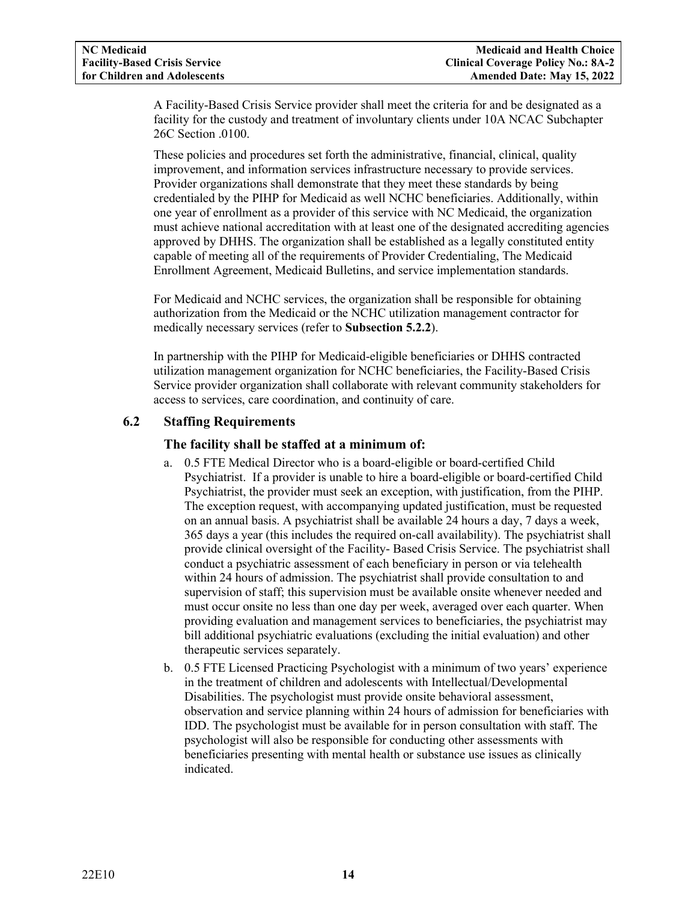A Facility-Based Crisis Service provider shall meet the criteria for and be designated as a facility for the custody and treatment of involuntary clients under 10A NCAC Subchapter 26C Section .0100.

These policies and procedures set forth the administrative, financial, clinical, quality improvement, and information services infrastructure necessary to provide services. Provider organizations shall demonstrate that they meet these standards by being credentialed by the PIHP for Medicaid as well NCHC beneficiaries. Additionally, within one year of enrollment as a provider of this service with NC Medicaid, the organization must achieve national accreditation with at least one of the designated accrediting agencies approved by DHHS. The organization shall be established as a legally constituted entity capable of meeting all of the requirements of Provider Credentialing, The Medicaid Enrollment Agreement, Medicaid Bulletins, and service implementation standards.

For Medicaid and NCHC services, the organization shall be responsible for obtaining authorization from the Medicaid or the NCHC utilization management contractor for medically necessary services (refer to **Subsection 5.2.2**).

In partnership with the PIHP for Medicaid-eligible beneficiaries or DHHS contracted utilization management organization for NCHC beneficiaries, the Facility-Based Crisis Service provider organization shall collaborate with relevant community stakeholders for access to services, care coordination, and continuity of care.

### <span id="page-13-0"></span>**6.2 Staffing Requirements**

### **The facility shall be staffed at a minimum of:**

- a. 0.5 FTE Medical Director who is a board-eligible or board-certified Child Psychiatrist. If a provider is unable to hire a board-eligible or board-certified Child Psychiatrist, the provider must seek an exception, with justification, from the PIHP. The exception request, with accompanying updated justification, must be requested on an annual basis. A psychiatrist shall be available 24 hours a day, 7 days a week, 365 days a year (this includes the required on-call availability). The psychiatrist shall provide clinical oversight of the Facility- Based Crisis Service. The psychiatrist shall conduct a psychiatric assessment of each beneficiary in person or via telehealth within 24 hours of admission. The psychiatrist shall provide consultation to and supervision of staff; this supervision must be available onsite whenever needed and must occur onsite no less than one day per week, averaged over each quarter. When providing evaluation and management services to beneficiaries, the psychiatrist may bill additional psychiatric evaluations (excluding the initial evaluation) and other therapeutic services separately.
- b. 0.5 FTE Licensed Practicing Psychologist with a minimum of two years' experience in the treatment of children and adolescents with Intellectual/Developmental Disabilities. The psychologist must provide onsite behavioral assessment, observation and service planning within 24 hours of admission for beneficiaries with IDD. The psychologist must be available for in person consultation with staff. The psychologist will also be responsible for conducting other assessments with beneficiaries presenting with mental health or substance use issues as clinically indicated.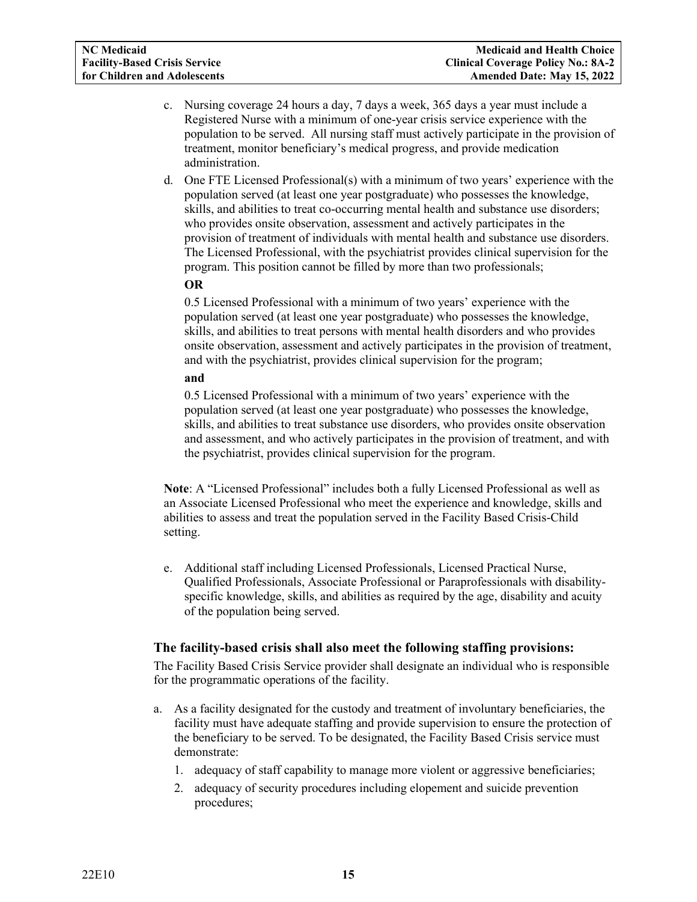- c. Nursing coverage 24 hours a day, 7 days a week, 365 days a year must include a Registered Nurse with a minimum of one-year crisis service experience with the population to be served. All nursing staff must actively participate in the provision of treatment, monitor beneficiary's medical progress, and provide medication administration.
- d. One FTE Licensed Professional(s) with a minimum of two years' experience with the population served (at least one year postgraduate) who possesses the knowledge, skills, and abilities to treat co-occurring mental health and substance use disorders; who provides onsite observation, assessment and actively participates in the provision of treatment of individuals with mental health and substance use disorders. The Licensed Professional, with the psychiatrist provides clinical supervision for the program. This position cannot be filled by more than two professionals;

#### **OR**

0.5 Licensed Professional with a minimum of two years' experience with the population served (at least one year postgraduate) who possesses the knowledge, skills, and abilities to treat persons with mental health disorders and who provides onsite observation, assessment and actively participates in the provision of treatment, and with the psychiatrist, provides clinical supervision for the program;

#### **and**

0.5 Licensed Professional with a minimum of two years' experience with the population served (at least one year postgraduate) who possesses the knowledge, skills, and abilities to treat substance use disorders, who provides onsite observation and assessment, and who actively participates in the provision of treatment, and with the psychiatrist, provides clinical supervision for the program.

**Note**: A "Licensed Professional" includes both a fully Licensed Professional as well as an Associate Licensed Professional who meet the experience and knowledge, skills and abilities to assess and treat the population served in the Facility Based Crisis-Child setting.

e. Additional staff including Licensed Professionals, Licensed Practical Nurse, Qualified Professionals, Associate Professional or Paraprofessionals with disabilityspecific knowledge, skills, and abilities as required by the age, disability and acuity of the population being served.

### **The facility-based crisis shall also meet the following staffing provisions:**

The Facility Based Crisis Service provider shall designate an individual who is responsible for the programmatic operations of the facility.

- a. As a facility designated for the custody and treatment of involuntary beneficiaries, the facility must have adequate staffing and provide supervision to ensure the protection of the beneficiary to be served. To be designated, the Facility Based Crisis service must demonstrate:
	- 1. adequacy of staff capability to manage more violent or aggressive beneficiaries;
	- 2. adequacy of security procedures including elopement and suicide prevention procedures;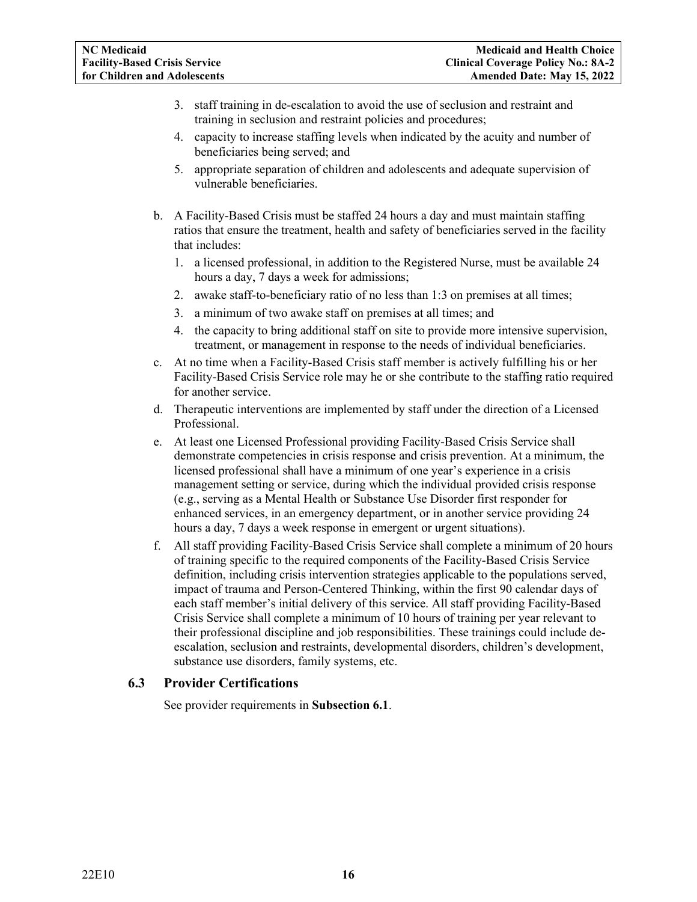- 3. staff training in de-escalation to avoid the use of seclusion and restraint and training in seclusion and restraint policies and procedures;
- 4. capacity to increase staffing levels when indicated by the acuity and number of beneficiaries being served; and
- 5. appropriate separation of children and adolescents and adequate supervision of vulnerable beneficiaries.
- b. A Facility-Based Crisis must be staffed 24 hours a day and must maintain staffing ratios that ensure the treatment, health and safety of beneficiaries served in the facility that includes:
	- 1. a licensed professional, in addition to the Registered Nurse, must be available 24 hours a day, 7 days a week for admissions;
	- 2. awake staff-to-beneficiary ratio of no less than 1:3 on premises at all times;
	- 3. a minimum of two awake staff on premises at all times; and
	- 4. the capacity to bring additional staff on site to provide more intensive supervision, treatment, or management in response to the needs of individual beneficiaries.
- c. At no time when a Facility-Based Crisis staff member is actively fulfilling his or her Facility-Based Crisis Service role may he or she contribute to the staffing ratio required for another service.
- d. Therapeutic interventions are implemented by staff under the direction of a Licensed Professional.
- e. At least one Licensed Professional providing Facility-Based Crisis Service shall demonstrate competencies in crisis response and crisis prevention. At a minimum, the licensed professional shall have a minimum of one year's experience in a crisis management setting or service, during which the individual provided crisis response (e.g., serving as a Mental Health or Substance Use Disorder first responder for enhanced services, in an emergency department, or in another service providing 24 hours a day, 7 days a week response in emergent or urgent situations).
- f. All staff providing Facility-Based Crisis Service shall complete a minimum of 20 hours of training specific to the required components of the Facility-Based Crisis Service definition, including crisis intervention strategies applicable to the populations served, impact of trauma and Person-Centered Thinking, within the first 90 calendar days of each staff member's initial delivery of this service. All staff providing Facility-Based Crisis Service shall complete a minimum of 10 hours of training per year relevant to their professional discipline and job responsibilities. These trainings could include deescalation, seclusion and restraints, developmental disorders, children's development, substance use disorders, family systems, etc.

### <span id="page-15-0"></span>**6.3 Provider Certifications**

See provider requirements in **Subsection 6.1**.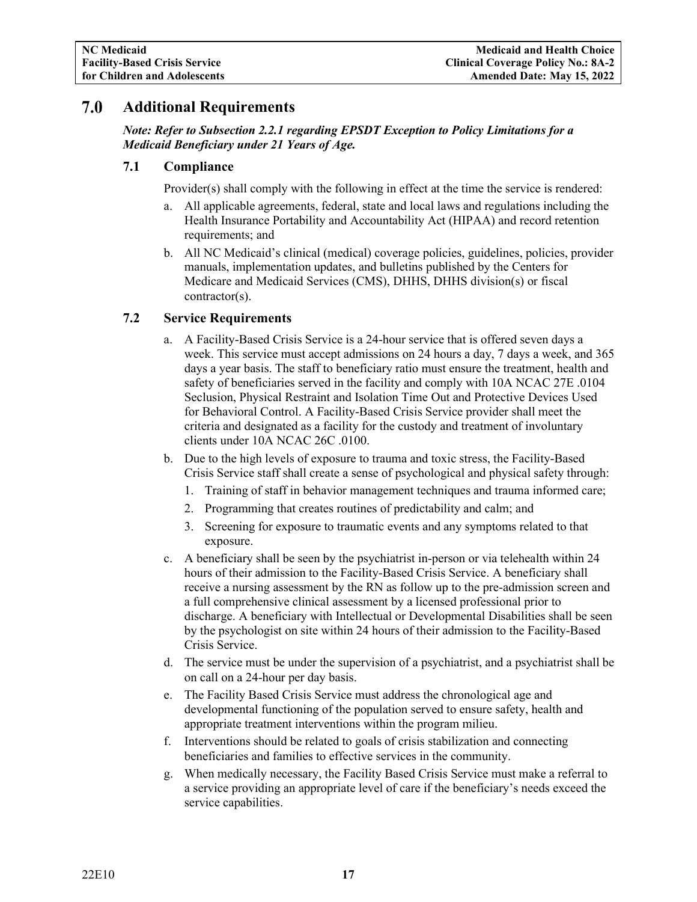#### <span id="page-16-0"></span>7.0 **Additional Requirements**

*Note: Refer to Subsection 2.2.1 regarding EPSDT Exception to Policy Limitations for a Medicaid Beneficiary under 21 Years of Age.*

#### <span id="page-16-1"></span>**7.1 Compliance**

Provider(s) shall comply with the following in effect at the time the service is rendered:

- a. All applicable agreements, federal, state and local laws and regulations including the Health Insurance Portability and Accountability Act (HIPAA) and record retention requirements; and
- b. All NC Medicaid's clinical (medical) coverage policies, guidelines, policies, provider manuals, implementation updates, and bulletins published by the Centers for Medicare and Medicaid Services (CMS), DHHS, DHHS division(s) or fiscal contractor(s).

#### <span id="page-16-2"></span>**7.2 Service Requirements**

- a. A Facility-Based Crisis Service is a 24-hour service that is offered seven days a week. This service must accept admissions on 24 hours a day, 7 days a week, and 365 days a year basis. The staff to beneficiary ratio must ensure the treatment, health and safety of beneficiaries served in the facility and comply with 10A NCAC 27E .0104 Seclusion, Physical Restraint and Isolation Time Out and Protective Devices Used for Behavioral Control. A Facility-Based Crisis Service provider shall meet the criteria and designated as a facility for the custody and treatment of involuntary clients under 10A NCAC 26C .0100.
- b. Due to the high levels of exposure to trauma and toxic stress, the Facility-Based Crisis Service staff shall create a sense of psychological and physical safety through:
	- 1. Training of staff in behavior management techniques and trauma informed care;
	- 2. Programming that creates routines of predictability and calm; and
	- 3. Screening for exposure to traumatic events and any symptoms related to that exposure.
- c. A beneficiary shall be seen by the psychiatrist in-person or via telehealth within 24 hours of their admission to the Facility-Based Crisis Service. A beneficiary shall receive a nursing assessment by the RN as follow up to the pre-admission screen and a full comprehensive clinical assessment by a licensed professional prior to discharge. A beneficiary with Intellectual or Developmental Disabilities shall be seen by the psychologist on site within 24 hours of their admission to the Facility-Based Crisis Service.
- d. The service must be under the supervision of a psychiatrist, and a psychiatrist shall be on call on a 24-hour per day basis.
- e. The Facility Based Crisis Service must address the chronological age and developmental functioning of the population served to ensure safety, health and appropriate treatment interventions within the program milieu.
- f. Interventions should be related to goals of crisis stabilization and connecting beneficiaries and families to effective services in the community.
- g. When medically necessary, the Facility Based Crisis Service must make a referral to a service providing an appropriate level of care if the beneficiary's needs exceed the service capabilities.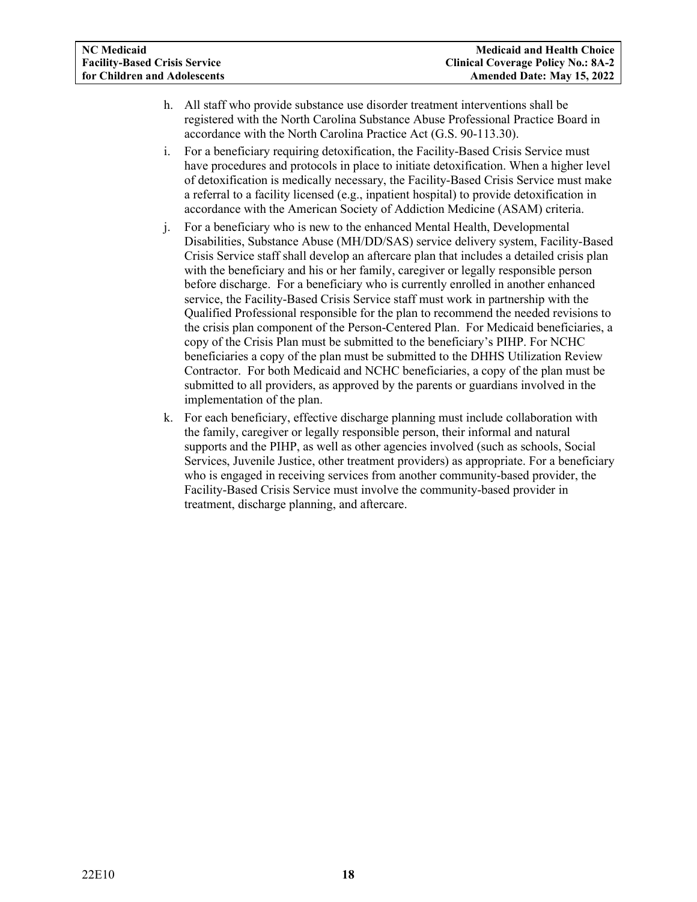- h. All staff who provide substance use disorder treatment interventions shall be registered with the North Carolina Substance Abuse Professional Practice Board in accordance with the North Carolina Practice Act (G.S. 90-113.30).
- i. For a beneficiary requiring detoxification, the Facility-Based Crisis Service must have procedures and protocols in place to initiate detoxification. When a higher level of detoxification is medically necessary, the Facility-Based Crisis Service must make a referral to a facility licensed (e.g., inpatient hospital) to provide detoxification in accordance with the American Society of Addiction Medicine (ASAM) criteria.
- j. For a beneficiary who is new to the enhanced Mental Health, Developmental Disabilities, Substance Abuse (MH/DD/SAS) service delivery system, Facility-Based Crisis Service staff shall develop an aftercare plan that includes a detailed crisis plan with the beneficiary and his or her family, caregiver or legally responsible person before discharge. For a beneficiary who is currently enrolled in another enhanced service, the Facility-Based Crisis Service staff must work in partnership with the Qualified Professional responsible for the plan to recommend the needed revisions to the crisis plan component of the Person-Centered Plan. For Medicaid beneficiaries, a copy of the Crisis Plan must be submitted to the beneficiary's PIHP. For NCHC beneficiaries a copy of the plan must be submitted to the DHHS Utilization Review Contractor. For both Medicaid and NCHC beneficiaries, a copy of the plan must be submitted to all providers, as approved by the parents or guardians involved in the implementation of the plan.
- k. For each beneficiary, effective discharge planning must include collaboration with the family, caregiver or legally responsible person, their informal and natural supports and the PIHP, as well as other agencies involved (such as schools, Social Services, Juvenile Justice, other treatment providers) as appropriate. For a beneficiary who is engaged in receiving services from another community-based provider, the Facility-Based Crisis Service must involve the community-based provider in treatment, discharge planning, and aftercare.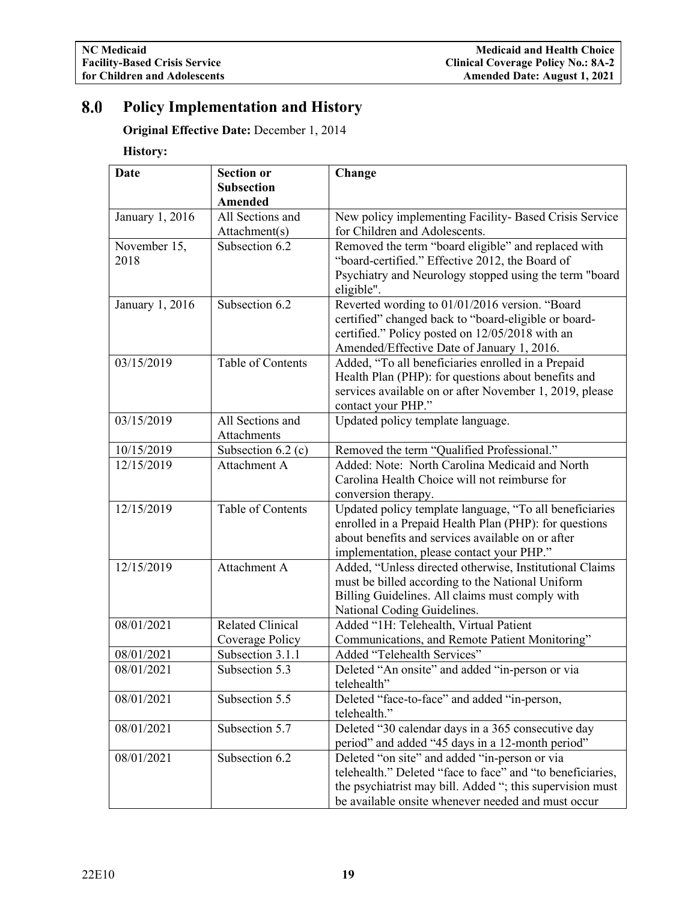#### <span id="page-18-0"></span>8.0 **Policy Implementation and History**

**Original Effective Date:** December 1, 2014

# **History:**

| <b>Date</b>     | <b>Section or</b>                  | Change                                                                                       |
|-----------------|------------------------------------|----------------------------------------------------------------------------------------------|
|                 | <b>Subsection</b>                  |                                                                                              |
|                 | Amended                            |                                                                                              |
| January 1, 2016 | All Sections and                   | New policy implementing Facility- Based Crisis Service                                       |
|                 | Attachment(s)                      | for Children and Adolescents.                                                                |
| November 15,    | Subsection 6.2                     | Removed the term "board eligible" and replaced with                                          |
| 2018            |                                    | "board-certified." Effective 2012, the Board of                                              |
|                 |                                    | Psychiatry and Neurology stopped using the term "board                                       |
|                 |                                    | eligible".                                                                                   |
| January 1, 2016 | Subsection 6.2                     | Reverted wording to 01/01/2016 version. "Board                                               |
|                 |                                    | certified" changed back to "board-eligible or board-                                         |
|                 |                                    | certified." Policy posted on 12/05/2018 with an                                              |
|                 |                                    | Amended/Effective Date of January 1, 2016.                                                   |
| 03/15/2019      | Table of Contents                  | Added, "To all beneficiaries enrolled in a Prepaid                                           |
|                 |                                    | Health Plan (PHP): for questions about benefits and                                          |
|                 |                                    | services available on or after November 1, 2019, please                                      |
| 03/15/2019      | All Sections and                   | contact your PHP."                                                                           |
|                 | Attachments                        | Updated policy template language.                                                            |
| 10/15/2019      |                                    |                                                                                              |
| 12/15/2019      | Subsection 6.2 (c)<br>Attachment A | Removed the term "Qualified Professional."<br>Added: Note: North Carolina Medicaid and North |
|                 |                                    | Carolina Health Choice will not reimburse for                                                |
|                 |                                    |                                                                                              |
| 12/15/2019      | Table of Contents                  | conversion therapy.<br>Updated policy template language, "To all beneficiaries               |
|                 |                                    | enrolled in a Prepaid Health Plan (PHP): for questions                                       |
|                 |                                    | about benefits and services available on or after                                            |
|                 |                                    | implementation, please contact your PHP."                                                    |
| 12/15/2019      | Attachment A                       | Added, "Unless directed otherwise, Institutional Claims                                      |
|                 |                                    | must be billed according to the National Uniform                                             |
|                 |                                    | Billing Guidelines. All claims must comply with                                              |
|                 |                                    | National Coding Guidelines.                                                                  |
| 08/01/2021      | <b>Related Clinical</b>            | Added "1H: Telehealth, Virtual Patient                                                       |
|                 | Coverage Policy                    | Communications, and Remote Patient Monitoring"                                               |
| 08/01/2021      | Subsection 3.1.1                   | Added "Telehealth Services"                                                                  |
| 08/01/2021      | Subsection 5.3                     | Deleted "An onsite" and added "in-person or via                                              |
|                 |                                    | telehealth"                                                                                  |
| 08/01/2021      | Subsection 5.5                     | Deleted "face-to-face" and added "in-person,                                                 |
|                 |                                    | telehealth."                                                                                 |
| 08/01/2021      | Subsection 5.7                     | Deleted "30 calendar days in a 365 consecutive day                                           |
|                 |                                    | period" and added "45 days in a 12-month period"                                             |
| 08/01/2021      | Subsection 6.2                     | Deleted "on site" and added "in-person or via                                                |
|                 |                                    | telehealth." Deleted "face to face" and "to beneficiaries,                                   |
|                 |                                    | the psychiatrist may bill. Added "; this supervision must                                    |
|                 |                                    | be available onsite whenever needed and must occur                                           |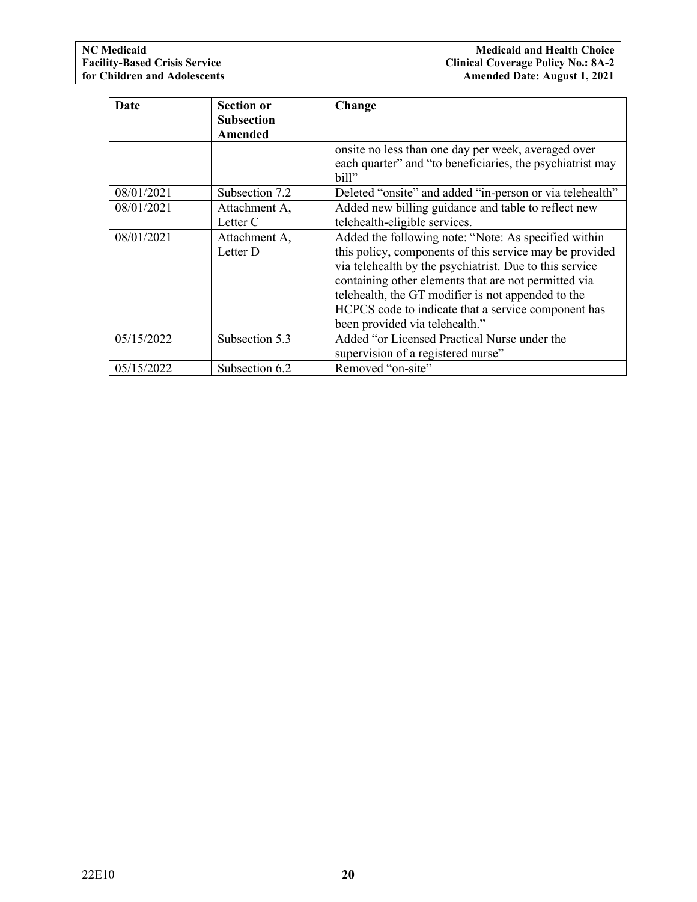| Date       | <b>Section or</b><br><b>Subsection</b><br>Amended | Change                                                                                                                                                                                                                                                                                                                                                                            |
|------------|---------------------------------------------------|-----------------------------------------------------------------------------------------------------------------------------------------------------------------------------------------------------------------------------------------------------------------------------------------------------------------------------------------------------------------------------------|
|            |                                                   | onsite no less than one day per week, averaged over<br>each quarter" and "to beneficiaries, the psychiatrist may<br>bill"                                                                                                                                                                                                                                                         |
| 08/01/2021 | Subsection 7.2                                    | Deleted "onsite" and added "in-person or via telehealth"                                                                                                                                                                                                                                                                                                                          |
| 08/01/2021 | Attachment A,<br>Letter C                         | Added new billing guidance and table to reflect new<br>telehealth-eligible services.                                                                                                                                                                                                                                                                                              |
| 08/01/2021 | Attachment A,<br>Letter D                         | Added the following note: "Note: As specified within<br>this policy, components of this service may be provided<br>via telehealth by the psychiatrist. Due to this service<br>containing other elements that are not permitted via<br>telehealth, the GT modifier is not appended to the<br>HCPCS code to indicate that a service component has<br>been provided via telehealth." |
| 05/15/2022 | Subsection 5.3                                    | Added "or Licensed Practical Nurse under the<br>supervision of a registered nurse"                                                                                                                                                                                                                                                                                                |
| 05/15/2022 | Subsection 6.2                                    | Removed "on-site"                                                                                                                                                                                                                                                                                                                                                                 |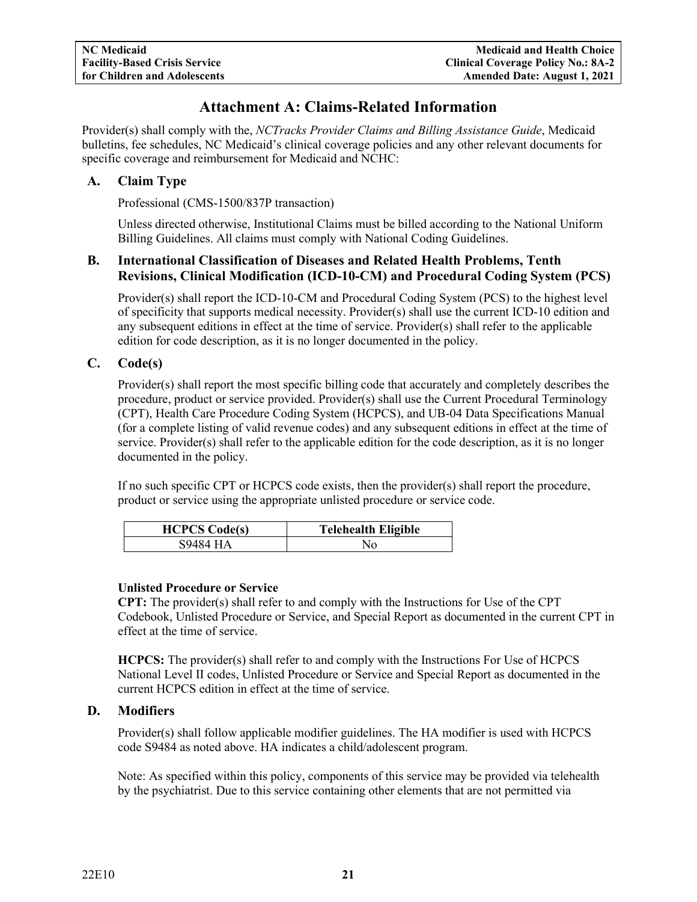# **Attachment A: Claims-Related Information**

<span id="page-20-0"></span>Provider(s) shall comply with the, *NCTracks Provider Claims and Billing Assistance Guide*, Medicaid bulletins, fee schedules, NC Medicaid's clinical coverage policies and any other relevant documents for specific coverage and reimbursement for Medicaid and NCHC:

## <span id="page-20-1"></span>**A. Claim Type**

Professional (CMS-1500/837P transaction)

Unless directed otherwise, Institutional Claims must be billed according to the National Uniform Billing Guidelines. All claims must comply with National Coding Guidelines.

# <span id="page-20-2"></span>**B. International Classification of Diseases and Related Health Problems, Tenth Revisions, Clinical Modification (ICD-10-CM) and Procedural Coding System (PCS)**

Provider(s) shall report the ICD-10-CM and Procedural Coding System (PCS) to the highest level of specificity that supports medical necessity. Provider(s) shall use the current ICD-10 edition and any subsequent editions in effect at the time of service. Provider(s) shall refer to the applicable edition for code description, as it is no longer documented in the policy.

# <span id="page-20-3"></span>**C. Code(s)**

Provider(s) shall report the most specific billing code that accurately and completely describes the procedure, product or service provided. Provider(s) shall use the Current Procedural Terminology (CPT), Health Care Procedure Coding System (HCPCS), and UB-04 Data Specifications Manual (for a complete listing of valid revenue codes) and any subsequent editions in effect at the time of service. Provider(s) shall refer to the applicable edition for the code description, as it is no longer documented in the policy.

If no such specific CPT or HCPCS code exists, then the provider(s) shall report the procedure, product or service using the appropriate unlisted procedure or service code.

| <b>HCPCS Code(s)</b> | <b>Telehealth Eligible</b> |
|----------------------|----------------------------|
| 89484 HA             | Ν٥                         |

#### **Unlisted Procedure or Service**

**CPT:** The provider(s) shall refer to and comply with the Instructions for Use of the CPT Codebook, Unlisted Procedure or Service, and Special Report as documented in the current CPT in effect at the time of service.

**HCPCS:** The provider(s) shall refer to and comply with the Instructions For Use of HCPCS National Level II codes, Unlisted Procedure or Service and Special Report as documented in the current HCPCS edition in effect at the time of service.

### <span id="page-20-4"></span>**D. Modifiers**

Provider(s) shall follow applicable modifier guidelines. The HA modifier is used with HCPCS code S9484 as noted above. HA indicates a child/adolescent program.

Note: As specified within this policy, components of this service may be provided via telehealth by the psychiatrist. Due to this service containing other elements that are not permitted via